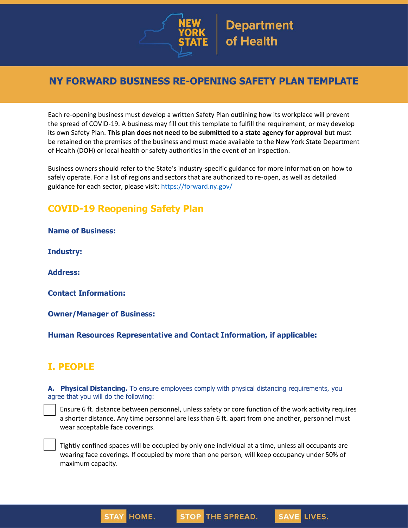

# **NY FORWARD BUSINESS RE-OPENING SAFETY PLAN TEMPLATE**

Each re-opening business must develop a written Safety Plan outlining how its workplace will prevent the spread of COVID-19. A business may fill out this template to fulfill the requirement, or may develop its own Safety Plan. **This plan does not need to be submitted to a state agency for approval** but must be retained on the premises of the business and must made available to the New York State Department of Health (DOH) or local health or safety authorities in the event of an inspection.

Business owners should refer to the State's industry-specific guidance for more information on how to safely operate. For a list of regions and sectors that are authorized to re-open, as well as detailed guidance for each sector, please visit:<https://forward.ny.gov/>

## **COVID-19 Reopening Safety Plan**

**Name of Business:**

**Industry:**

**Address:**

**Contact Information:**

**Owner/Manager of Business:**

**Human Resources Representative and Contact Information, if applicable:**

## **I. PEOPLE**

**A. Physical Distancing.** To ensure employees comply with physical distancing requirements, you agree that you will do the following:

 Ensure 6 ft. distance between personnel, unless safety or core function of the work activity requires a shorter distance. Any time personnel are less than 6 ft. apart from one another, personnel must wear acceptable face coverings.

 Tightly confined spaces will be occupied by only one individual at a time, unless all occupants are wearing face coverings. If occupied by more than one person, will keep occupancy under 50% of maximum capacity.

**STOP THE SPREAD.** 

**SAVE LIVES.** 

HOME.

**STA**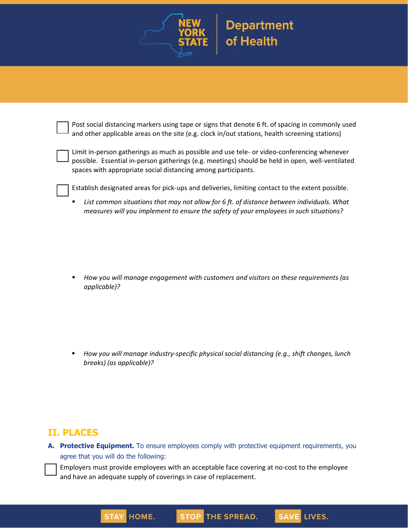

 Post social distancing markers using tape or signs that denote 6 ft. of spacing in commonly used and other applicable areas on the site (e.g. clock in/out stations, health screening stations)

 Limit in-person gatherings as much as possible and use tele- or video-conferencing whenever possible. Essential in-person gatherings (e.g. meetings) should be held in open, well-ventilated spaces with appropriate social distancing among participants.

Establish designated areas for pick-ups and deliveries, limiting contact to the extent possible.

▪ *List common situations that may not allow for 6 ft. of distance between individuals. What measures will you implement to ensure the safety of your employees in such situations?*

▪ *How you will manage engagement with customers and visitors on these requirements (as applicable)?*

▪ *How you will manage industry-specific physical social distancing (e.g., shift changes, lunch breaks) (as applicable)?*

### **II. PLACES**

**A. Protective Equipment.** To ensure employees comply with protective equipment requirements, you agree that you will do the following:

 Employers must provide employees with an acceptable face covering at no-cost to the employee and have an adequate supply of coverings in case of replacement.

STOP THE SPREAD.

**SAVE LIVES.** 

HOME.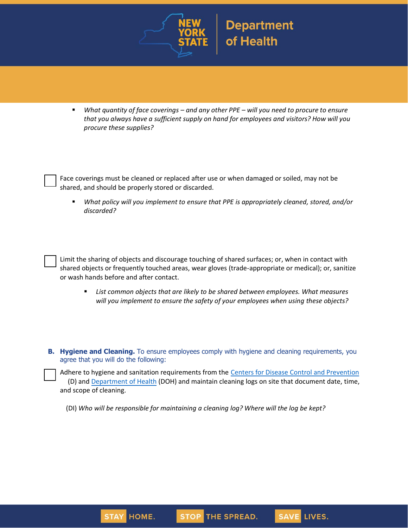

■ *What quantity of face coverings – and any other PPE – will you need to procure to ensure that you always have a sufficient supply on hand for employees and visitors? How will you procure these supplies?*

 Face coverings must be cleaned or replaced after use or when damaged or soiled, may not be shared, and should be properly stored or discarded.

▪ *What policy will you implement to ensure that PPE is appropriately cleaned, stored, and/or discarded?*

 Limit the sharing of objects and discourage touching of shared surfaces; or, when in contact with shared objects or frequently touched areas, wear gloves (trade-appropriate or medical); or, sanitize or wash hands before and after contact.

- List common objects that are likely to be shared between employees. What measures *will you implement to ensure the safety of your employees when using these objects?*
- **B. Hygiene and Cleaning.** To ensure employees comply with hygiene and cleaning requirements, you agree that you will do the following:

Adhere to hygiene and sanitation requirements from the [Centers for Disease Control and Prevention](https://www.cdc.gov/coronavirus/2019-ncov/index.html) (D) and [Department of Health](https://coronavirus.health.ny.gov/home) (DOH) and maintain cleaning logs on site that document date, time, and scope of cleaning.

STOP THE SPREAD.

**SAVE LIVES.** 

(DI) *Who will be responsible for maintaining a cleaning log? Where will the log be kept?* 

HOME.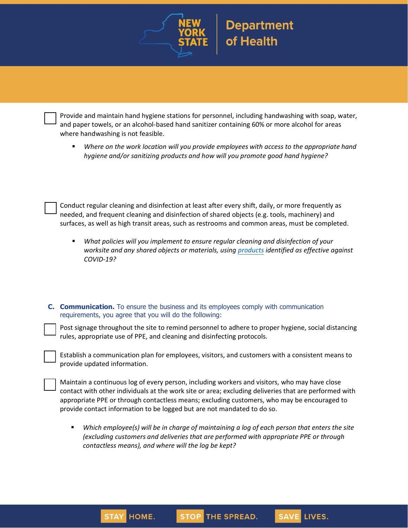

 Provide and maintain hand hygiene stations for personnel, including handwashing with soap, water, and paper towels, or an alcohol-based hand sanitizer containing 60% or more alcohol for areas where handwashing is not feasible.

▪ *Where on the work location will you provide employees with access to the appropriate hand hygiene and/or sanitizing products and how will you promote good hand hygiene?*

 Conduct regular cleaning and disinfection at least after every shift, daily, or more frequently as needed, and frequent cleaning and disinfection of shared objects (e.g. tools, machinery) and surfaces, as well as high transit areas, such as restrooms and common areas, must be completed.

- *What policies will you implement to ensure regular cleaning and disinfection of your worksite and any shared objects or materials, using [products](http://www.dec.ny.gov/docs/materials_minerals_pdf/covid19.pdf) identified as effective against COVID-19?*
- **C. Communication.** To ensure the business and its employees comply with communication requirements, you agree that you will do the following:

 Post signage throughout the site to remind personnel to adhere to proper hygiene, social distancing rules, appropriate use of PPE, and cleaning and disinfecting protocols.

 Establish a communication plan for employees, visitors, and customers with a consistent means to provide updated information.

 Maintain a continuous log of every person, including workers and visitors, who may have close contact with other individuals at the work site or area; excluding deliveries that are performed with appropriate PPE or through contactless means; excluding customers, who may be encouraged to provide contact information to be logged but are not mandated to do so.

▪ *Which employee(s) will be in charge of maintaining a log of each person that enters the site (excluding customers and deliveries that are performed with appropriate PPE or through contactless means), and where will the log be kept?*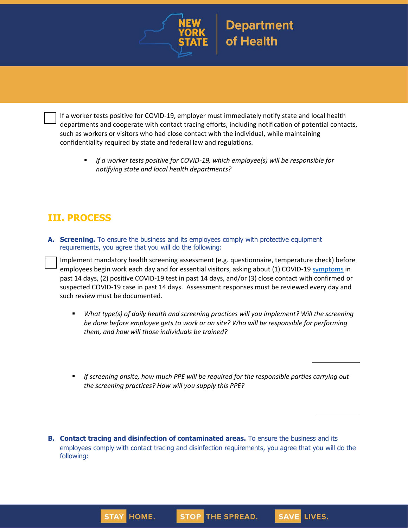



 If a worker tests positive for COVID-19, employer must immediately notify state and local health departments and cooperate with contact tracing efforts, including notification of potential contacts, such as workers or visitors who had close contact with the individual, while maintaining confidentiality required by state and federal law and regulations.

■ *If a worker tests positive for COVID-19, which employee(s) will be responsible for notifying state and local health departments?*

## **III. PROCESS**

**A. Screening.** To ensure the business and its employees comply with protective equipment requirements, you agree that you will do the following:

 Implement mandatory health screening assessment (e.g. questionnaire, temperature check) before employees begin work each day and for essential visitors, asking about (1) COVID-19 [symptoms](https://www.cdc.gov/coronavirus/2019-ncov/symptoms-testing/symptoms.html) in past 14 days, (2) positive COVID-19 test in past 14 days, and/or (3) close contact with confirmed or suspected COVID-19 case in past 14 days. Assessment responses must be reviewed every day and such review must be documented.

- *What type(s) of daily health and screening practices will you implement? Will the screening be done before employee gets to work or on site? Who will be responsible for performing them, and how will those individuals be trained?*
- If screening onsite, how much PPE will be required for the responsible parties carrying out *the screening practices? How will you supply this PPE?*
- **B. Contact tracing and disinfection of contaminated areas.** To ensure the business and its employees comply with contact tracing and disinfection requirements, you agree that you will do the following: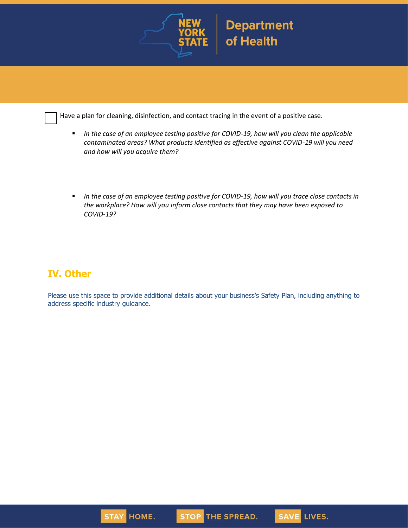

Have a plan for cleaning, disinfection, and contact tracing in the event of a positive case.

- *In the case of an employee testing positive for COVID-19, how will you clean the applicable contaminated areas? What products identified as effective against COVID-19 will you need and how will you acquire them?*
- *In the case of an employee testing positive for COVID-19, how will you trace close contacts in the workplace? How will you inform close contacts that they may have been exposed to COVID-19?*

## **IV. Other**

Please use this space to provide additional details about your business's Safety Plan, including anything to address specific industry guidance.